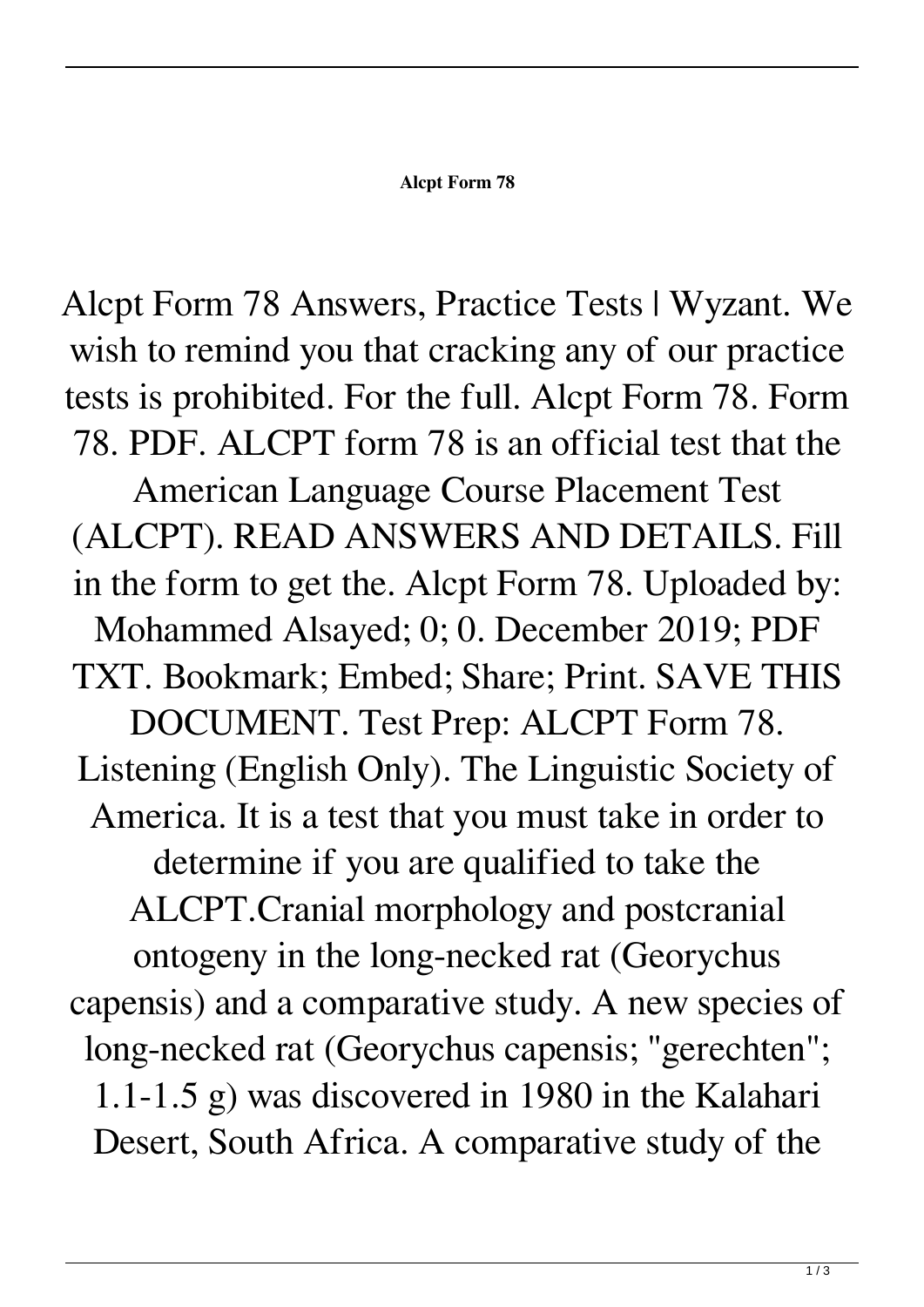## **Alcpt Form 78**

Alcpt Form 78 Answers, Practice Tests | Wyzant. We wish to remind you that cracking any of our practice tests is prohibited. For the full. Alcpt Form 78. Form 78. PDF. ALCPT form 78 is an official test that the American Language Course Placement Test (ALCPT). READ ANSWERS AND DETAILS. Fill in the form to get the. Alcpt Form 78. Uploaded by: Mohammed Alsayed; 0; 0. December 2019; PDF TXT. Bookmark; Embed; Share; Print. SAVE THIS DOCUMENT. Test Prep: ALCPT Form 78. Listening (English Only). The Linguistic Society of America. It is a test that you must take in order to determine if you are qualified to take the ALCPT.Cranial morphology and postcranial ontogeny in the long-necked rat (Georychus capensis) and a comparative study. A new species of long-necked rat (Georychus capensis; "gerechten"; 1.1-1.5 g) was discovered in 1980 in the Kalahari Desert, South Africa. A comparative study of the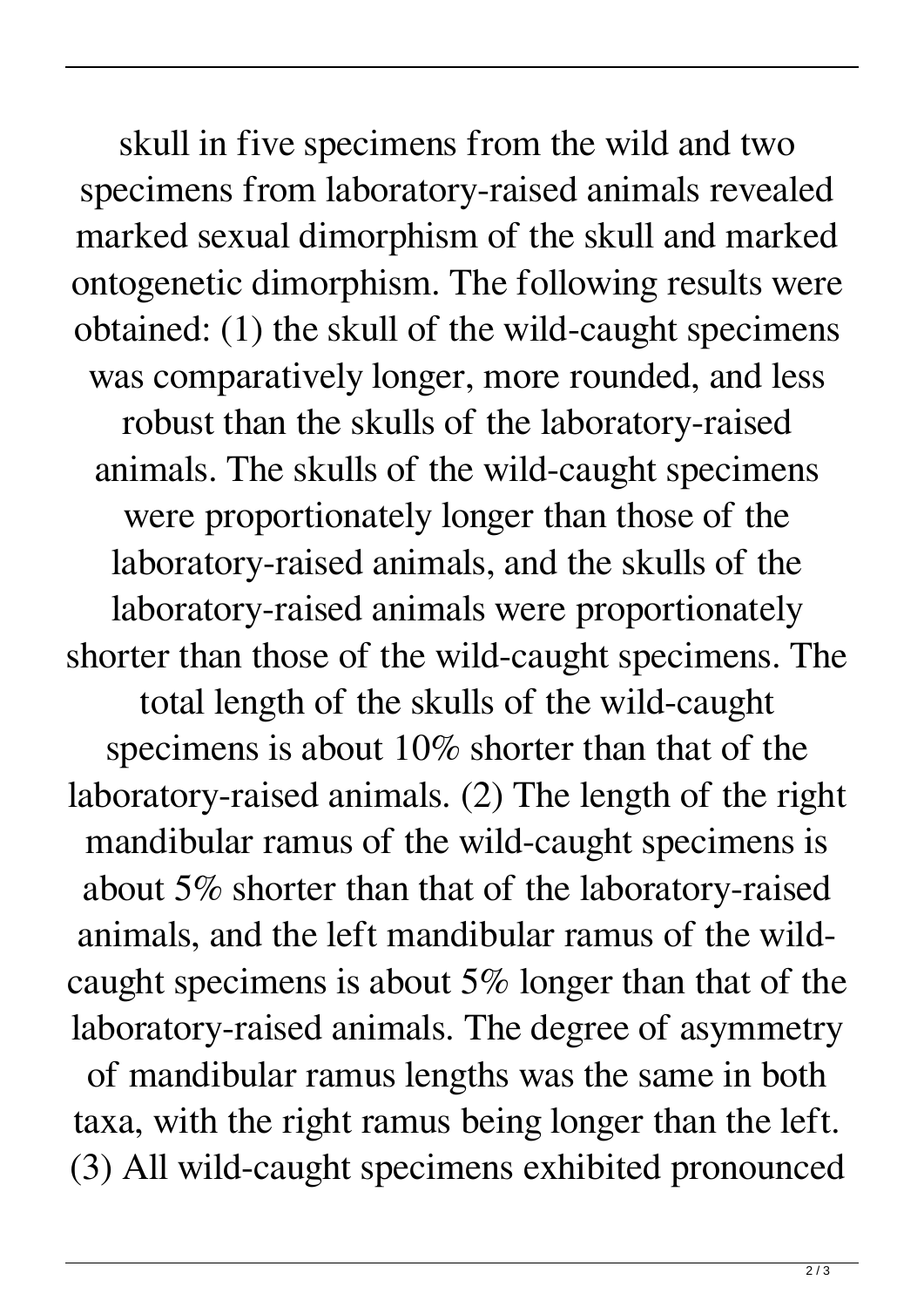skull in five specimens from the wild and two specimens from laboratory-raised animals revealed marked sexual dimorphism of the skull and marked ontogenetic dimorphism. The following results were obtained: (1) the skull of the wild-caught specimens was comparatively longer, more rounded, and less robust than the skulls of the laboratory-raised animals. The skulls of the wild-caught specimens were proportionately longer than those of the laboratory-raised animals, and the skulls of the laboratory-raised animals were proportionately shorter than those of the wild-caught specimens. The total length of the skulls of the wild-caught specimens is about 10% shorter than that of the laboratory-raised animals. (2) The length of the right mandibular ramus of the wild-caught specimens is about 5% shorter than that of the laboratory-raised animals, and the left mandibular ramus of the wildcaught specimens is about  $5\%$  longer than that of the laboratory-raised animals. The degree of asymmetry of mandibular ramus lengths was the same in both taxa, with the right ramus being longer than the left. (3) All wild-caught specimens exhibited pronounced